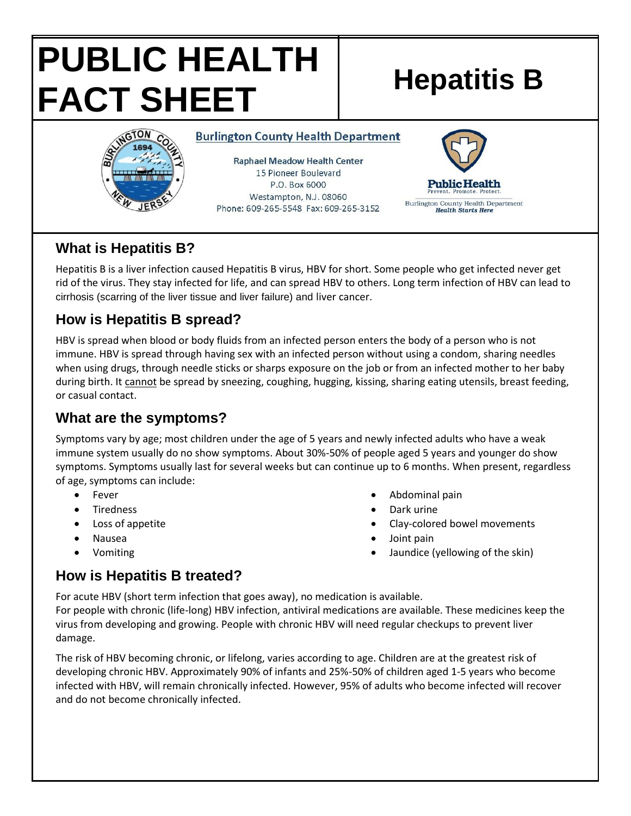# **PUBLIC HEALTH FACT SHEET** Hepatitis B



#### **Burlington County Health Department**

**Raphael Meadow Health Center** 15 Pioneer Boulevard P.O. Box 6000 Westampton, N.J. 08060 Phone: 609-265-5548 Fax: 609-265-3152



#### **What is Hepatitis B?**

Hepatitis B is a liver infection caused Hepatitis B virus, HBV for short. Some people who get infected never get rid of the virus. They stay infected for life, and can spread HBV to others. Long term infection of HBV can lead to cirrhosis (scarring of the liver tissue and liver failure) and liver cancer.

### **How is Hepatitis B spread?**

HBV is spread when blood or body fluids from an infected person enters the body of a person who is not immune. HBV is spread through having sex with an infected person without using a condom, sharing needles when using drugs, through needle sticks or sharps exposure on the job or from an infected mother to her baby during birth. It cannot be spread by sneezing, coughing, hugging, kissing, sharing eating utensils, breast feeding, or casual contact.

## **What are the symptoms?**

Symptoms vary by age; most children under the age of 5 years and newly infected adults who have a weak immune system usually do no show symptoms. About 30%-50% of people aged 5 years and younger do show symptoms. Symptoms usually last for several weeks but can continue up to 6 months. When present, regardless of age, symptoms can include:

- Fever
- **Tiredness**
- Loss of appetite
- Nausea
- Vomiting
- Abdominal pain
- Dark urine
- Clay-colored bowel movements
- Joint pain
- Jaundice (yellowing of the skin)

#### **How is Hepatitis B treated?**

For acute HBV (short term infection that goes away), no medication is available. For people with chronic (life-long) HBV infection, antiviral medications are available. These medicines keep the virus from developing and growing. People with chronic HBV will need regular checkups to prevent liver damage.

The risk of HBV becoming chronic, or lifelong, varies according to age. Children are at the greatest risk of developing chronic HBV. Approximately 90% of infants and 25%-50% of children aged 1-5 years who become infected with HBV, will remain chronically infected. However, 95% of adults who become infected will recover and do not become chronically infected.